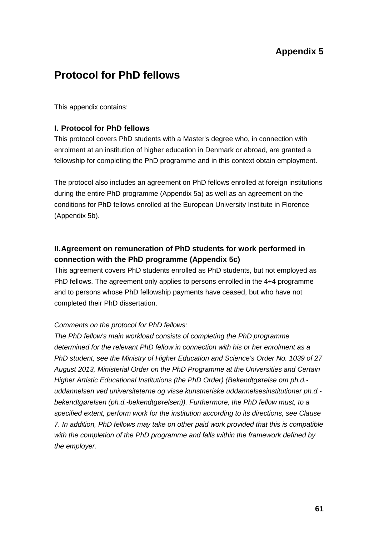# **Appendix 5**

# **Protocol for PhD fellows**

This appendix contains:

### **I. Protocol for PhD fellows**

This protocol covers PhD students with a Master's degree who, in connection with enrolment at an institution of higher education in Denmark or abroad, are granted a fellowship for completing the PhD programme and in this context obtain employment.

The protocol also includes an agreement on PhD fellows enrolled at foreign institutions during the entire PhD programme (Appendix 5a) as well as an agreement on the conditions for PhD fellows enrolled at the European University Institute in Florence (Appendix 5b).

# **II.Agreement on remuneration of PhD students for work performed in connection with the PhD programme (Appendix 5c)**

This agreement covers PhD students enrolled as PhD students, but not employed as PhD fellows. The agreement only applies to persons enrolled in the 4+4 programme and to persons whose PhD fellowship payments have ceased, but who have not completed their PhD dissertation.

### *Comments on the protocol for PhD fellows:*

*The PhD fellow's main workload consists of completing the PhD programme determined for the relevant PhD fellow in connection with his or her enrolment as a PhD student, see the Ministry of Higher Education and Science's Order No. 1039 of 27 August 2013, Ministerial Order on the PhD Programme at the Universities and Certain Higher Artistic Educational Institutions (the PhD Order) (Bekendtgørelse om ph.d. uddannelsen ved universiteterne og visse kunstneriske uddannelsesinstitutioner ph.d. bekendtgørelsen (ph.d.-bekendtgørelsen)). Furthermore, the PhD fellow must, to a specified extent, perform work for the institution according to its directions, see Clause 7. In addition, PhD fellows may take on other paid work provided that this is compatible with the completion of the PhD programme and falls within the framework defined by the employer.*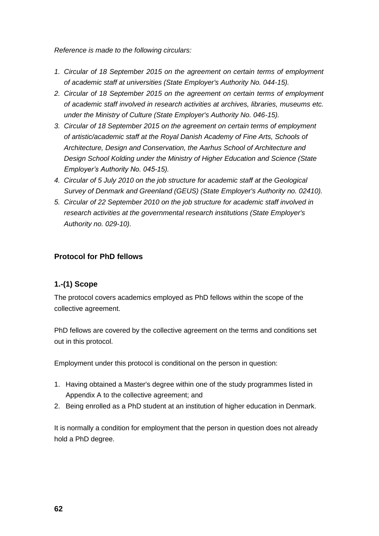*Reference is made to the following circulars:*

- *1. Circular of 18 September 2015 on the agreement on certain terms of employment of academic staff at universities (State Employer's Authority No. 044-15).*
- *2. Circular of 18 September 2015 on the agreement on certain terms of employment of academic staff involved in research activities at archives, libraries, museums etc. under the Ministry of Culture (State Employer's Authority No. 046-15).*
- *3. Circular of 18 September 2015 on the agreement on certain terms of employment of artistic/academic staff at the Royal Danish Academy of Fine Arts, Schools of Architecture, Design and Conservation, the Aarhus School of Architecture and Design School Kolding under the Ministry of Higher Education and Science (State Employer's Authority No. 045-15).*
- *4. Circular of 5 July 2010 on the job structure for academic staff at the Geological Survey of Denmark and Greenland (GEUS) (State Employer's Authority no. 02410).*
- *5. Circular of 22 September 2010 on the job structure for academic staff involved in research activities at the governmental research institutions (State Employer's Authority no. 029-10).*

### **Protocol for PhD fellows**

### **1.-(1) Scope**

The protocol covers academics employed as PhD fellows within the scope of the collective agreement.

PhD fellows are covered by the collective agreement on the terms and conditions set out in this protocol.

Employment under this protocol is conditional on the person in question:

- 1. Having obtained a Master's degree within one of the study programmes listed in Appendix A to the collective agreement; and
- 2. Being enrolled as a PhD student at an institution of higher education in Denmark.

It is normally a condition for employment that the person in question does not already hold a PhD degree.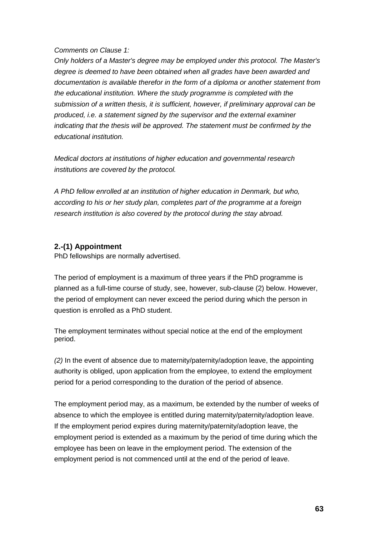#### *Comments on Clause 1:*

*Only holders of a Master's degree may be employed under this protocol. The Master's degree is deemed to have been obtained when all grades have been awarded and documentation is available therefor in the form of a diploma or another statement from the educational institution. Where the study programme is completed with the submission of a written thesis, it is sufficient, however, if preliminary approval can be produced, i.e. a statement signed by the supervisor and the external examiner indicating that the thesis will be approved. The statement must be confirmed by the educational institution.*

*Medical doctors at institutions of higher education and governmental research institutions are covered by the protocol.*

*A PhD fellow enrolled at an institution of higher education in Denmark, but who, according to his or her study plan, completes part of the programme at a foreign research institution is also covered by the protocol during the stay abroad.*

### **2.-(1) Appointment**

PhD fellowships are normally advertised.

The period of employment is a maximum of three years if the PhD programme is planned as a full-time course of study, see, however, sub-clause (2) below. However, the period of employment can never exceed the period during which the person in question is enrolled as a PhD student.

The employment terminates without special notice at the end of the employment period.

*(2)* In the event of absence due to maternity/paternity/adoption leave, the appointing authority is obliged, upon application from the employee, to extend the employment period for a period corresponding to the duration of the period of absence.

The employment period may, as a maximum, be extended by the number of weeks of absence to which the employee is entitled during maternity/paternity/adoption leave. If the employment period expires during maternity/paternity/adoption leave, the employment period is extended as a maximum by the period of time during which the employee has been on leave in the employment period. The extension of the employment period is not commenced until at the end of the period of leave.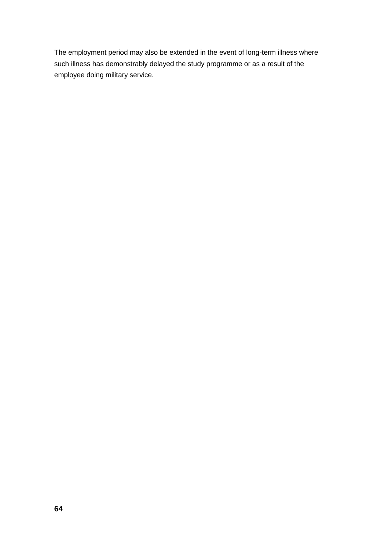The employment period may also be extended in the event of long-term illness where such illness has demonstrably delayed the study programme or as a result of the employee doing military service.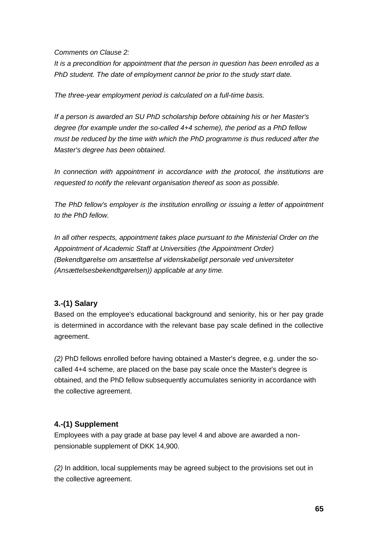*Comments on Clause 2:*

*It is a precondition for appointment that the person in question has been enrolled as a PhD student. The date of employment cannot be prior to the study start date.*

*The three-year employment period is calculated on a full-time basis.*

*If a person is awarded an SU PhD scholarship before obtaining his or her Master's degree (for example under the so-called 4+4 scheme), the period as a PhD fellow must be reduced by the time with which the PhD programme is thus reduced after the Master's degree has been obtained.*

*In connection with appointment in accordance with the protocol, the institutions are requested to notify the relevant organisation thereof as soon as possible.*

*The PhD fellow's employer is the institution enrolling or issuing a letter of appointment to the PhD fellow.*

*In all other respects, appointment takes place pursuant to the Ministerial Order on the Appointment of Academic Staff at Universities (the Appointment Order) (Bekendtgørelse om ansættelse af videnskabeligt personale ved universiteter (Ansættelsesbekendtgørelsen)) applicable at any time.*

### **3.-(1) Salary**

Based on the employee's educational background and seniority, his or her pay grade is determined in accordance with the relevant base pay scale defined in the collective agreement.

*(2)* PhD fellows enrolled before having obtained a Master's degree, e.g. under the socalled 4+4 scheme, are placed on the base pay scale once the Master's degree is obtained, and the PhD fellow subsequently accumulates seniority in accordance with the collective agreement.

### **4.-(1) Supplement**

Employees with a pay grade at base pay level 4 and above are awarded a nonpensionable supplement of DKK 14,900.

*(2)* In addition, local supplements may be agreed subject to the provisions set out in the collective agreement.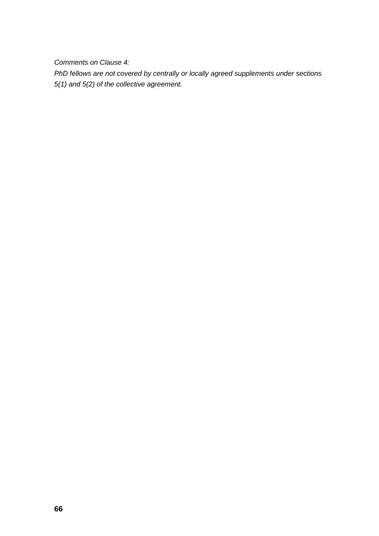*Comments on Clause 4:*

*PhD fellows are not covered by centrally or locally agreed supplements under sections 5(1) and 5(2) of the collective agreement.*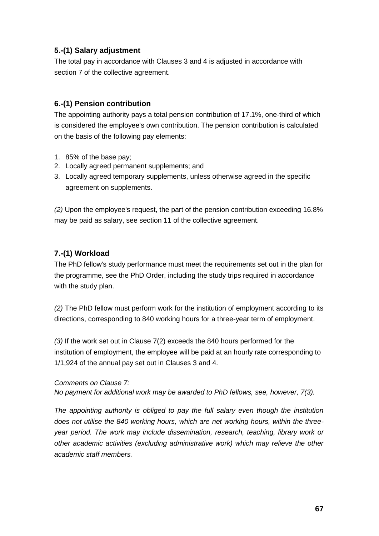## **5.-(1) Salary adjustment**

The total pay in accordance with Clauses 3 and 4 is adjusted in accordance with section 7 of the collective agreement.

## **6.-(1) Pension contribution**

The appointing authority pays a total pension contribution of 17.1%, one-third of which is considered the employee's own contribution. The pension contribution is calculated on the basis of the following pay elements:

- 1. 85% of the base pay;
- 2. Locally agreed permanent supplements; and
- 3. Locally agreed temporary supplements, unless otherwise agreed in the specific agreement on supplements.

*(2)* Upon the employee's request, the part of the pension contribution exceeding 16.8% may be paid as salary, see section 11 of the collective agreement.

## **7.-(1) Workload**

The PhD fellow's study performance must meet the requirements set out in the plan for the programme, see the PhD Order, including the study trips required in accordance with the study plan.

*(2)* The PhD fellow must perform work for the institution of employment according to its directions, corresponding to 840 working hours for a three-year term of employment.

*(3)* If the work set out in Clause 7(2) exceeds the 840 hours performed for the institution of employment, the employee will be paid at an hourly rate corresponding to 1/1,924 of the annual pay set out in Clauses 3 and 4.

*Comments on Clause 7:*

*No payment for additional work may be awarded to PhD fellows, see, however, 7(3).*

*The appointing authority is obliged to pay the full salary even though the institution does not utilise the 840 working hours, which are net working hours, within the threeyear period. The work may include dissemination, research, teaching, library work or other academic activities (excluding administrative work) which may relieve the other academic staff members.*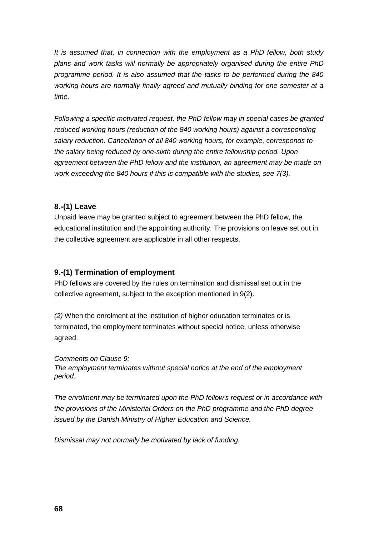*It is assumed that, in connection with the employment as a PhD fellow, both study plans and work tasks will normally be appropriately organised during the entire PhD programme period. It is also assumed that the tasks to be performed during the 840 working hours are normally finally agreed and mutually binding for one semester at a time.*

*Following a specific motivated request, the PhD fellow may in special cases be granted reduced working hours (reduction of the 840 working hours) against a corresponding salary reduction. Cancellation of all 840 working hours, for example, corresponds to the salary being reduced by one-sixth during the entire fellowship period. Upon agreement between the PhD fellow and the institution, an agreement may be made on work exceeding the 840 hours if this is compatible with the studies, see 7(3).*

### **8.-(1) Leave**

Unpaid leave may be granted subject to agreement between the PhD fellow, the educational institution and the appointing authority. The provisions on leave set out in the collective agreement are applicable in all other respects.

### **9.-(1) Termination of employment**

PhD fellows are covered by the rules on termination and dismissal set out in the collective agreement, subject to the exception mentioned in 9(2).

*(2)* When the enrolment at the institution of higher education terminates or is terminated, the employment terminates without special notice, unless otherwise agreed.

### *Comments on Clause 9:*

*The employment terminates without special notice at the end of the employment period.*

*The enrolment may be terminated upon the PhD fellow's request or in accordance with the provisions of the Ministerial Orders on the PhD programme and the PhD degree issued by the Danish Ministry of Higher Education and Science.*

*Dismissal may not normally be motivated by lack of funding.*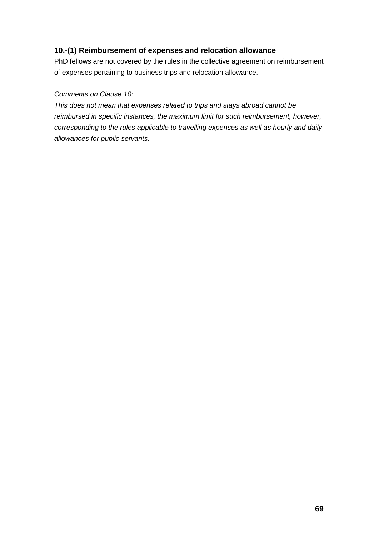### **10.-(1) Reimbursement of expenses and relocation allowance**

PhD fellows are not covered by the rules in the collective agreement on reimbursement of expenses pertaining to business trips and relocation allowance.

### *Comments on Clause 10:*

*This does not mean that expenses related to trips and stays abroad cannot be reimbursed in specific instances, the maximum limit for such reimbursement, however, corresponding to the rules applicable to travelling expenses as well as hourly and daily allowances for public servants.*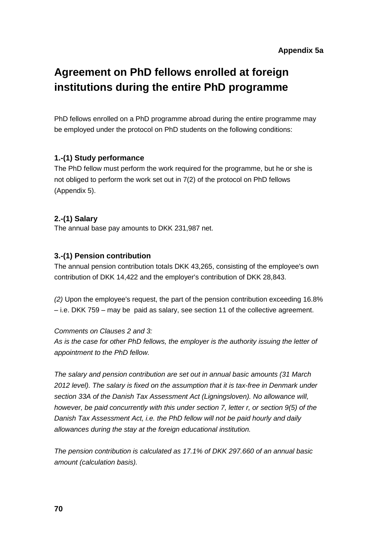# **Agreement on PhD fellows enrolled at foreign institutions during the entire PhD programme**

PhD fellows enrolled on a PhD programme abroad during the entire programme may be employed under the protocol on PhD students on the following conditions:

### **1.-(1) Study performance**

The PhD fellow must perform the work required for the programme, but he or she is not obliged to perform the work set out in 7(2) of the protocol on PhD fellows (Appendix 5).

## **2.-(1) Salary**

The annual base pay amounts to DKK 231,987 net.

## **3.-(1) Pension contribution**

The annual pension contribution totals DKK 43,265, consisting of the employee's own contribution of DKK 14,422 and the employer's contribution of DKK 28,843.

*(2)* Upon the employee's request, the part of the pension contribution exceeding 16.8% – i.e. DKK 759 – may be paid as salary, see section 11 of the collective agreement.

### *Comments on Clauses 2 and 3:*

*As is the case for other PhD fellows, the employer is the authority issuing the letter of appointment to the PhD fellow.*

*The salary and pension contribution are set out in annual basic amounts (31 March*  2012 level). The salary is fixed on the assumption that it is tax-free in Denmark under *section 33A of the Danish Tax Assessment Act (Ligningsloven). No allowance will, however, be paid concurrently with this under section 7, letter r, or section 9(5) of the Danish Tax Assessment Act, i.e. the PhD fellow will not be paid hourly and daily allowances during the stay at the foreign educational institution.*

*The pension contribution is calculated as 17.1% of DKK 297.660 of an annual basic amount (calculation basis).*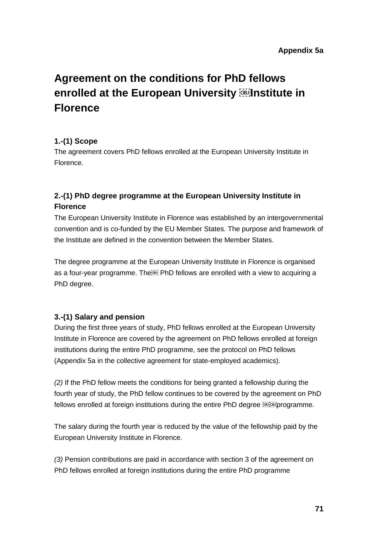# **Agreement on the conditions for PhD fellows enrolled at the European University <b>Four** linstitute in **Florence**

### **1.-(1) Scope**

The agreement covers PhD fellows enrolled at the European University Institute in Florence.

# **2.-(1) PhD degree programme at the European University Institute in Florence**

The European University Institute in Florence was established by an intergovernmental convention and is co-funded by the EU Member States. The purpose and framework of the Institute are defined in the convention between the Member States.

The degree programme at the European University Institute in Florence is organised as a four-year programme. The **Doget PhD fellows are enrolled with a view to acquiring a** PhD degree.

# **3.-(1) Salary and pension**

During the first three years of study, PhD fellows enrolled at the European University Institute in Florence are covered by the agreement on PhD fellows enrolled at foreign institutions during the entire PhD programme, see the protocol on PhD fellows (Appendix 5a in the collective agreement for state-employed academics).

*(2)* If the PhD fellow meets the conditions for being granted a fellowship during the fourth year of study, the PhD fellow continues to be covered by the agreement on PhD fellows enrolled at foreign institutions during the entire PhD degree **DEFORE** programme.

The salary during the fourth year is reduced by the value of the fellowship paid by the European University Institute in Florence.

*(3)* Pension contributions are paid in accordance with section 3 of the agreement on PhD fellows enrolled at foreign institutions during the entire PhD programme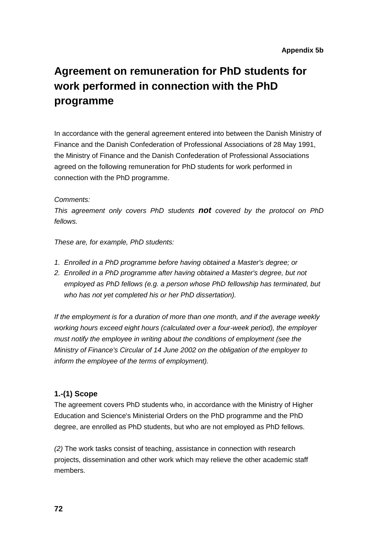# **Agreement on remuneration for PhD students for work performed in connection with the PhD programme**

In accordance with the general agreement entered into between the Danish Ministry of Finance and the Danish Confederation of Professional Associations of 28 May 1991, the Ministry of Finance and the Danish Confederation of Professional Associations agreed on the following remuneration for PhD students for work performed in connection with the PhD programme.

#### *Comments:*

*This agreement only covers PhD students not covered by the protocol on PhD fellows.*

*These are, for example, PhD students:*

- *1. Enrolled in a PhD programme before having obtained a Master's degree; or*
- 2. *Enrolled in a PhD programme after having obtained a Master's degree, but not employed as PhD fellows (e.g. a person whose PhD fellowship has terminated, but who has not yet completed his or her PhD dissertation).*

*If the employment is for a duration of more than one month, and if the average weekly working hours exceed eight hours (calculated over a four-week period), the employer must notify the employee in writing about the conditions of employment (see the Ministry of Finance's Circular of 14 June 2002 on the obligation of the employer to inform the employee of the terms of employment).*

### **1.-(1) Scope**

The agreement covers PhD students who, in accordance with the Ministry of Higher Education and Science's Ministerial Orders on the PhD programme and the PhD degree, are enrolled as PhD students, but who are not employed as PhD fellows.

*(2)* The work tasks consist of teaching, assistance in connection with research projects, dissemination and other work which may relieve the other academic staff members.